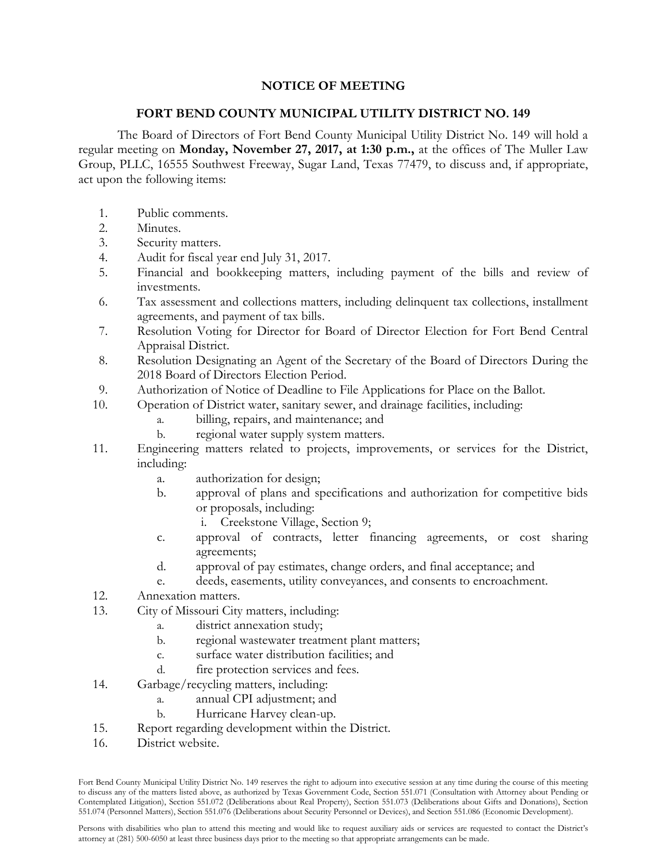## **NOTICE OF MEETING**

## **FORT BEND COUNTY MUNICIPAL UTILITY DISTRICT NO. 149**

The Board of Directors of Fort Bend County Municipal Utility District No. 149 will hold a regular meeting on **Monday, November 27, 2017, at 1:30 p.m.,** at the offices of The Muller Law Group, PLLC, 16555 Southwest Freeway, Sugar Land, Texas 77479, to discuss and, if appropriate, act upon the following items:

- 1. Public comments.
- 2. Minutes.
- 3. Security matters.
- 4. Audit for fiscal year end July 31, 2017.
- 5. Financial and bookkeeping matters, including payment of the bills and review of investments.
- 6. Tax assessment and collections matters, including delinquent tax collections, installment agreements, and payment of tax bills.
- 7. Resolution Voting for Director for Board of Director Election for Fort Bend Central Appraisal District.
- 8. Resolution Designating an Agent of the Secretary of the Board of Directors During the 2018 Board of Directors Election Period.
- 9. Authorization of Notice of Deadline to File Applications for Place on the Ballot.
- 10. Operation of District water, sanitary sewer, and drainage facilities, including:
	- a. billing, repairs, and maintenance; and
	- b. regional water supply system matters.
- 11. Engineering matters related to projects, improvements, or services for the District, including:
	- a. authorization for design;
	- b. approval of plans and specifications and authorization for competitive bids or proposals, including:
		- i. Creekstone Village, Section 9;
	- c. approval of contracts, letter financing agreements, or cost sharing agreements;
	- d. approval of pay estimates, change orders, and final acceptance; and
	- e. deeds, easements, utility conveyances, and consents to encroachment.
- 12. Annexation matters.
- 13. City of Missouri City matters, including:
	- a. district annexation study;
	- b. regional wastewater treatment plant matters;
	- c. surface water distribution facilities; and
	- d. fire protection services and fees.
- 14. Garbage/recycling matters, including:
	- a. annual CPI adjustment; and
	- b. Hurricane Harvey clean-up.
- 15. Report regarding development within the District.
- 16. District website.

Fort Bend County Municipal Utility District No. 149 reserves the right to adjourn into executive session at any time during the course of this meeting to discuss any of the matters listed above, as authorized by Texas Government Code, Section 551.071 (Consultation with Attorney about Pending or Contemplated Litigation), Section 551.072 (Deliberations about Real Property), Section 551.073 (Deliberations about Gifts and Donations), Section 551.074 (Personnel Matters), Section 551.076 (Deliberations about Security Personnel or Devices), and Section 551.086 (Economic Development).

Persons with disabilities who plan to attend this meeting and would like to request auxiliary aids or services are requested to contact the District's attorney at (281) 500-6050 at least three business days prior to the meeting so that appropriate arrangements can be made.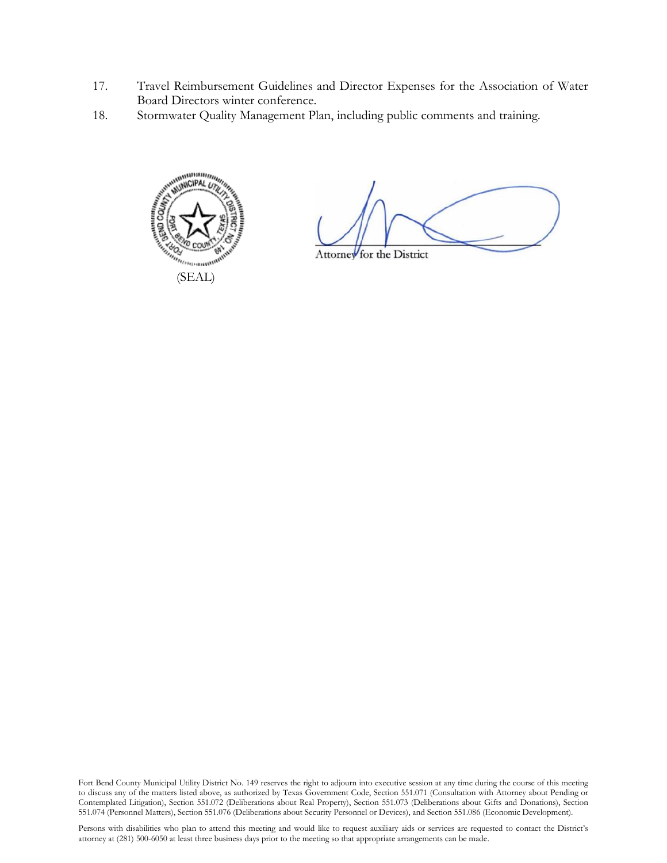- 17. Travel Reimbursement Guidelines and Director Expenses for the Association of Water Board Directors winter conference.
- 18. Stormwater Quality Management Plan, including public comments and training.



Attorney for the District

Fort Bend County Municipal Utility District No. 149 reserves the right to adjourn into executive session at any time during the course of this meeting to discuss any of the matters listed above, as authorized by Texas Government Code, Section 551.071 (Consultation with Attorney about Pending or Contemplated Litigation), Section 551.072 (Deliberations about Real Property), Section 551.073 (Deliberations about Gifts and Donations), Section 551.074 (Personnel Matters), Section 551.076 (Deliberations about Security Personnel or Devices), and Section 551.086 (Economic Development).

Persons with disabilities who plan to attend this meeting and would like to request auxiliary aids or services are requested to contact the District's attorney at (281) 500-6050 at least three business days prior to the meeting so that appropriate arrangements can be made.